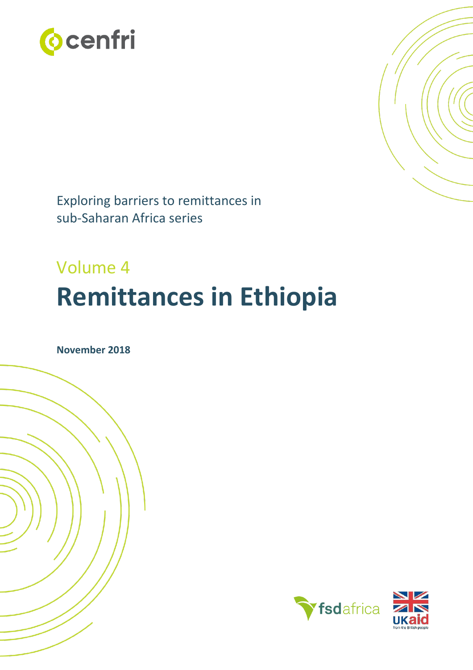



Exploring barriers to remittances in sub-Saharan Africa series

# Volume 4 **Remittances in Ethiopia**

**November 2018**

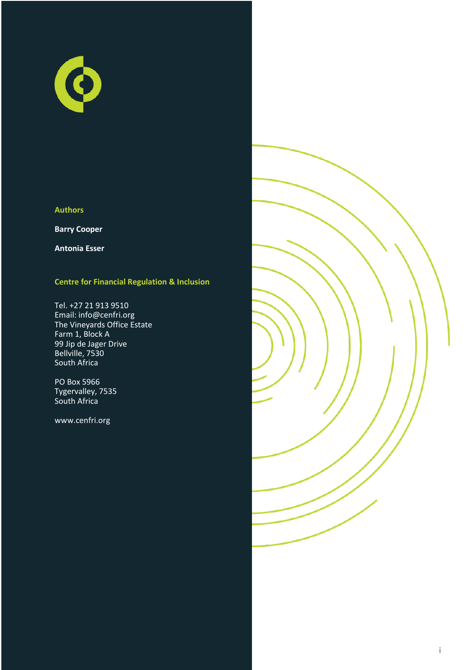

### **Authors**

**Barry Cooper**

**Antonia Esser**

### **Centre for Financial Regulation & Inclusion**

Tel. +27 21 913 9510 Email: info@cenfri.org The Vineyards Office Estate Farm 1, Block A 99 Jip de Jager Drive Bellville, 7530 South Africa

PO Box 5966 Tygervalley, 7535 South Africa

www.cenfri.org

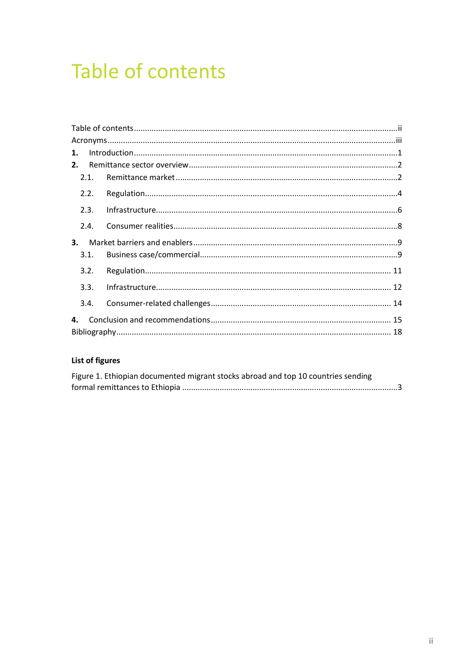# <span id="page-2-0"></span>Table of contents

| $\mathbf{1}$ . |  |  |  |  |  |
|----------------|--|--|--|--|--|
| 2.             |  |  |  |  |  |
| 2.1.           |  |  |  |  |  |
| 2.2.           |  |  |  |  |  |
| 2.3.           |  |  |  |  |  |
| 2.4            |  |  |  |  |  |
| 3.             |  |  |  |  |  |
| 3.1.           |  |  |  |  |  |
| 3.2.           |  |  |  |  |  |
| 3.3.           |  |  |  |  |  |
| 3.4.           |  |  |  |  |  |
| 4.             |  |  |  |  |  |
|                |  |  |  |  |  |

### List of figures

| Figure 1. Ethiopian documented migrant stocks abroad and top 10 countries sending |  |
|-----------------------------------------------------------------------------------|--|
|                                                                                   |  |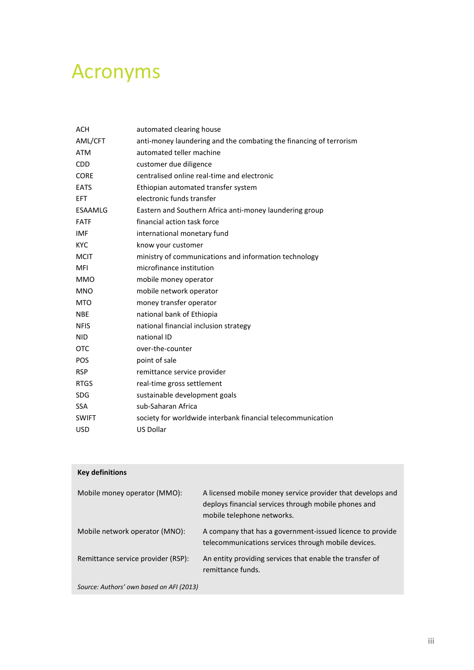## <span id="page-3-0"></span>Acronyms

| ACH          | automated clearing house                                           |
|--------------|--------------------------------------------------------------------|
| AML/CFT      | anti-money laundering and the combating the financing of terrorism |
| <b>ATM</b>   | automated teller machine                                           |
| <b>CDD</b>   | customer due diligence                                             |
| <b>CORE</b>  | centralised online real-time and electronic                        |
| <b>EATS</b>  | Ethiopian automated transfer system                                |
| <b>EFT</b>   | electronic funds transfer                                          |
| ESAAMLG      | Eastern and Southern Africa anti-money laundering group            |
| <b>FATF</b>  | financial action task force                                        |
| <b>IMF</b>   | international monetary fund                                        |
| <b>KYC</b>   | know your customer                                                 |
| <b>MCIT</b>  | ministry of communications and information technology              |
| <b>MFI</b>   | microfinance institution                                           |
| <b>MMO</b>   | mobile money operator                                              |
| <b>MNO</b>   | mobile network operator                                            |
| <b>MTO</b>   | money transfer operator                                            |
| <b>NBE</b>   | national bank of Ethiopia                                          |
| <b>NFIS</b>  | national financial inclusion strategy                              |
| <b>NID</b>   | national ID                                                        |
| <b>OTC</b>   | over-the-counter                                                   |
| <b>POS</b>   | point of sale                                                      |
| <b>RSP</b>   | remittance service provider                                        |
| <b>RTGS</b>  | real-time gross settlement                                         |
| <b>SDG</b>   | sustainable development goals                                      |
| <b>SSA</b>   | sub-Saharan Africa                                                 |
| <b>SWIFT</b> | society for worldwide interbank financial telecommunication        |
| <b>USD</b>   | <b>US Dollar</b>                                                   |

| <b>Key definitions</b>                   |                                                                                                                                                  |  |  |  |
|------------------------------------------|--------------------------------------------------------------------------------------------------------------------------------------------------|--|--|--|
| Mobile money operator (MMO):             | A licensed mobile money service provider that develops and<br>deploys financial services through mobile phones and<br>mobile telephone networks. |  |  |  |
| Mobile network operator (MNO):           | A company that has a government-issued licence to provide<br>telecommunications services through mobile devices.                                 |  |  |  |
| Remittance service provider (RSP):       | An entity providing services that enable the transfer of<br>remittance funds.                                                                    |  |  |  |
| Source: Authors' own based on AFI (2013) |                                                                                                                                                  |  |  |  |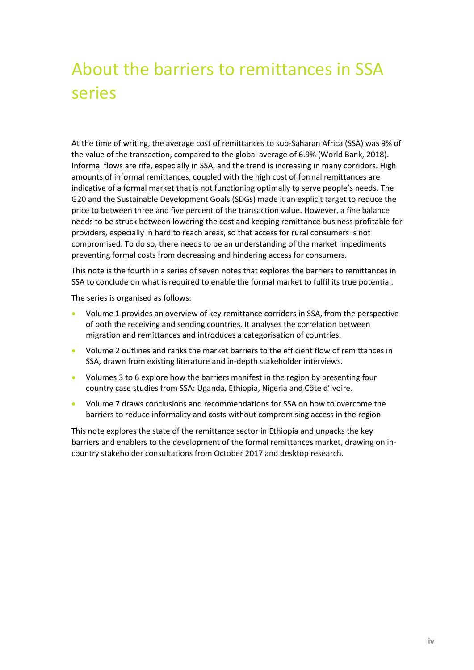## About the barriers to remittances in SSA series

At the time of writing, the average cost of remittances to sub-Saharan Africa (SSA) was 9% of the value of the transaction, compared to the global average of 6.9% (World Bank, 2018). Informal flows are rife, especially in SSA, and the trend is increasing in many corridors. High amounts of informal remittances, coupled with the high cost of formal remittances are indicative of a formal market that is not functioning optimally to serve people's needs. The G20 and the Sustainable Development Goals (SDGs) made it an explicit target to reduce the price to between three and five percent of the transaction value. However, a fine balance needs to be struck between lowering the cost and keeping remittance business profitable for providers, especially in hard to reach areas, so that access for rural consumers is not compromised. To do so, there needs to be an understanding of the market impediments preventing formal costs from decreasing and hindering access for consumers.

This note is the fourth in a series of seven notes that explores the barriers to remittances in SSA to conclude on what is required to enable the formal market to fulfil its true potential.

The series is organised as follows:

- Volume 1 provides an overview of key remittance corridors in SSA, from the perspective of both the receiving and sending countries. It analyses the correlation between migration and remittances and introduces a categorisation of countries.
- Volume 2 outlines and ranks the market barriers to the efficient flow of remittances in SSA, drawn from existing literature and in-depth stakeholder interviews.
- Volumes 3 to 6 explore how the barriers manifest in the region by presenting four country case studies from SSA: Uganda, Ethiopia, Nigeria and Côte d'Ivoire.
- Volume 7 draws conclusions and recommendations for SSA on how to overcome the barriers to reduce informality and costs without compromising access in the region.

This note explores the state of the remittance sector in Ethiopia and unpacks the key barriers and enablers to the development of the formal remittances market, drawing on incountry stakeholder consultations from October 2017 and desktop research.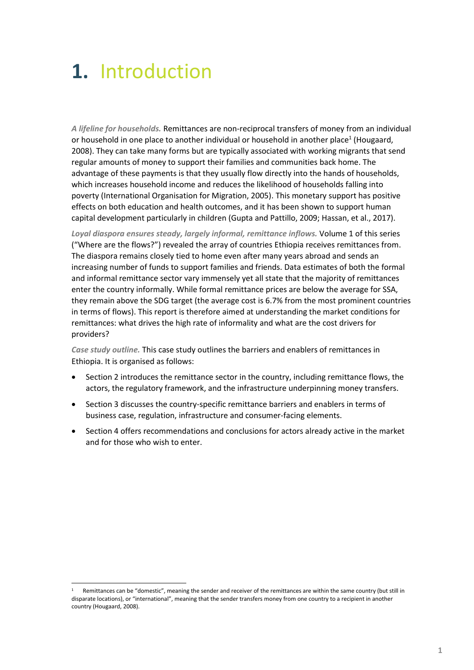# <span id="page-5-0"></span>**1.** Introduction

*A lifeline for households.* Remittances are non-reciprocal transfers of money from an individual or household in one place to another individual or household in another place<sup>1</sup> (Hougaard, 2008). They can take many forms but are typically associated with working migrants that send regular amounts of money to support their families and communities back home. The advantage of these payments is that they usually flow directly into the hands of households, which increases household income and reduces the likelihood of households falling into poverty (International Organisation for Migration, 2005). This monetary support has positive effects on both education and health outcomes, and it has been shown to support human capital development particularly in children (Gupta and Pattillo, 2009; Hassan, et al., 2017).

*Loyal diaspora ensures steady, largely informal, remittance inflows.* Volume 1 of this series ("Where are the flows?") revealed the array of countries Ethiopia receives remittances from. The diaspora remains closely tied to home even after many years abroad and sends an increasing number of funds to support families and friends. Data estimates of both the formal and informal remittance sector vary immensely yet all state that the majority of remittances enter the country informally. While formal remittance prices are below the average for SSA, they remain above the SDG target (the average cost is 6.7% from the most prominent countries in terms of flows). This report is therefore aimed at understanding the market conditions for remittances: what drives the high rate of informality and what are the cost drivers for providers?

*Case study outline.* This case study outlines the barriers and enablers of remittances in Ethiopia. It is organised as follows:

- Section 2 introduces the remittance sector in the country, including remittance flows, the actors, the regulatory framework, and the infrastructure underpinning money transfers.
- Section 3 discusses the country-specific remittance barriers and enablers in terms of business case, regulation, infrastructure and consumer-facing elements.
- Section 4 offers recommendations and conclusions for actors already active in the market and for those who wish to enter.

Remittances can be "domestic", meaning the sender and receiver of the remittances are within the same country (but still in disparate locations), or "international", meaning that the sender transfers money from one country to a recipient in another country (Hougaard, 2008).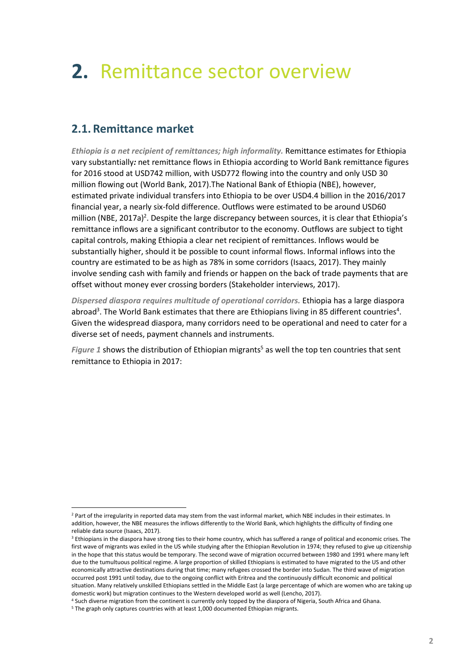# <span id="page-6-0"></span>**2.** Remittance sector overview

### <span id="page-6-1"></span>**2.1. Remittance market**

*Ethiopia is a net recipient of remittances; high informality.* Remittance estimates for Ethiopia vary substantially*:* net remittance flows in Ethiopia according to World Bank remittance figures for 2016 stood at USD742 million, with USD772 flowing into the country and only USD 30 million flowing out (World Bank, 2017).The National Bank of Ethiopia (NBE), however, estimated private individual transfers into Ethiopia to be over USD4.4 billion in the 2016/2017 financial year, a nearly six-fold difference. Outflows were estimated to be around USD60 million (NBE, 2017a)<sup>2</sup>. Despite the large discrepancy between sources, it is clear that Ethiopia's remittance inflows are a significant contributor to the economy. Outflows are subject to tight capital controls, making Ethiopia a clear net recipient of remittances. Inflows would be substantially higher, should it be possible to count informal flows. Informal inflows into the country are estimated to be as high as 78% in some corridors (Isaacs, 2017). They mainly involve sending cash with family and friends or happen on the back of trade payments that are offset without money ever crossing borders (Stakeholder interviews, 2017).

*Dispersed diaspora requires multitude of operational corridors.* Ethiopia has a large diaspora abroad<sup>3</sup>. The World Bank estimates that there are Ethiopians living in 85 different countries<sup>4</sup>. Given the widespread diaspora, many corridors need to be operational and need to cater for a diverse set of needs, payment channels and instruments.

*[Figure 1](#page-7-0)* shows the distribution of Ethiopian migrants<sup>5</sup> as well the top ten countries that sent remittance to Ethiopia in 2017:

 $\overline{a}$ 

<sup>&</sup>lt;sup>2</sup> Part of the irregularity in reported data may stem from the vast informal market, which NBE includes in their estimates. In addition, however, the NBE measures the inflows differently to the World Bank, which highlights the difficulty of finding one reliable data source (Isaacs, 2017).

<sup>&</sup>lt;sup>3</sup> Ethiopians in the diaspora have strong ties to their home country, which has suffered a range of political and economic crises. The first wave of migrants was exiled in the US while studying after the Ethiopian Revolution in 1974; they refused to give up citizenship in the hope that this status would be temporary. The second wave of migration occurred between 1980 and 1991 where many left due to the tumultuous political regime. A large proportion of skilled Ethiopians is estimated to have migrated to the US and other economically attractive destinations during that time; many refugees crossed the border into Sudan. The third wave of migration occurred post 1991 until today, due to the ongoing conflict with Eritrea and the continuously difficult economic and political situation. Many relatively unskilled Ethiopians settled in the Middle East (a large percentage of which are women who are taking up domestic work) but migration continues to the Western developed world as well (Lencho, 2017).

<sup>4</sup> Such diverse migration from the continent is currently only topped by the diaspora of Nigeria, South Africa and Ghana.

<sup>&</sup>lt;sup>5</sup> The graph only captures countries with at least 1,000 documented Ethiopian migrants.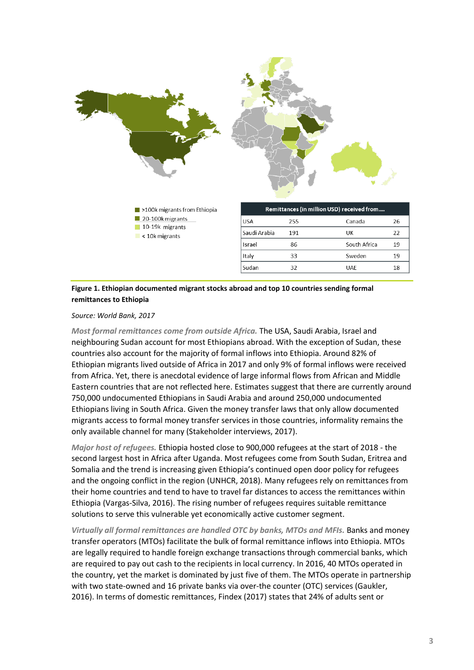

<span id="page-7-0"></span>**Figure 1. Ethiopian documented migrant stocks abroad and top 10 countries sending formal remittances to Ethiopia**

*Source: World Bank, 2017*

*Most formal remittances come from outside Africa.* The USA, Saudi Arabia, Israel and neighbouring Sudan account for most Ethiopians abroad. With the exception of Sudan, these countries also account for the majority of formal inflows into Ethiopia. Around 82% of Ethiopian migrants lived outside of Africa in 2017 and only 9% of formal inflows were received from Africa. Yet, there is anecdotal evidence of large informal flows from African and Middle Eastern countries that are not reflected here. Estimates suggest that there are currently around 750,000 undocumented Ethiopians in Saudi Arabia and around 250,000 undocumented Ethiopians living in South Africa. Given the money transfer laws that only allow documented migrants access to formal money transfer services in those countries, informality remains the only available channel for many (Stakeholder interviews, 2017).

*Major host of refugees.* Ethiopia hosted close to 900,000 refugees at the start of 2018 - the second largest host in Africa after Uganda. Most refugees come from South Sudan, Eritrea and Somalia and the trend is increasing given Ethiopia's continued open door policy for refugees and the ongoing conflict in the region (UNHCR, 2018). Many refugees rely on remittances from their home countries and tend to have to travel far distances to access the remittances within Ethiopia (Vargas-Silva, 2016). The rising number of refugees requires suitable remittance solutions to serve this vulnerable yet economically active customer segment.

*Virtually all formal remittances are handled OTC by banks, MTOs and MFIs.* Banks and money transfer operators (MTOs) facilitate the bulk of formal remittance inflows into Ethiopia. MTOs are legally required to handle foreign exchange transactions through commercial banks, which are required to pay out cash to the recipients in local currency. In 2016, 40 MTOs operated in the country, yet the market is dominated by just five of them. The MTOs operate in partnership with two state-owned and 16 private banks via over-the counter (OTC) services (Gaukler, 2016). In terms of domestic remittances, Findex (2017) states that 24% of adults sent or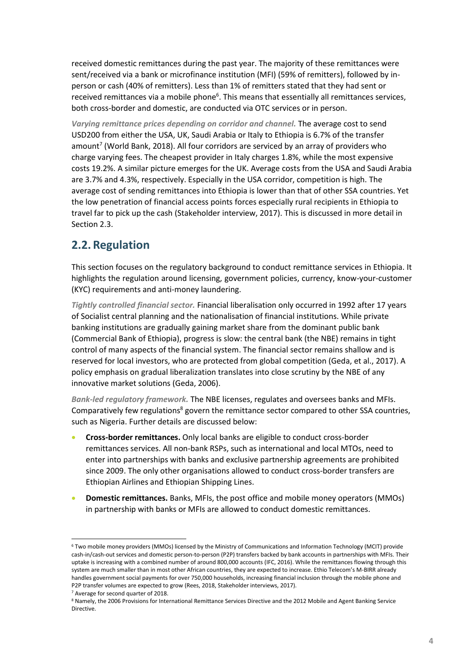received domestic remittances during the past year. The majority of these remittances were sent/received via a bank or microfinance institution (MFI) (59% of remitters), followed by inperson or cash (40% of remitters). Less than 1% of remitters stated that they had sent or received remittances via a mobile phone<sup>6</sup>. This means that essentially all remittances services, both cross-border and domestic, are conducted via OTC services or in person.

*Varying remittance prices depending on corridor and channel.* The average cost to send USD200 from either the USA, UK, Saudi Arabia or Italy to Ethiopia is 6.7% of the transfer amount<sup>7</sup> (World Bank, 2018). All four corridors are serviced by an array of providers who charge varying fees. The cheapest provider in Italy charges 1.8%, while the most expensive costs 19.2%. A similar picture emerges for the UK. Average costs from the USA and Saudi Arabia are 3.7% and 4.3%, respectively. Especially in the USA corridor, competition is high. The average cost of sending remittances into Ethiopia is lower than that of other SSA countries. Yet the low penetration of financial access points forces especially rural recipients in Ethiopia to travel far to pick up the cash (Stakeholder interview, 2017). This is discussed in more detail in Sectio[n 2.3.](#page-10-0)

## <span id="page-8-0"></span>**2.2. Regulation**

This section focuses on the regulatory background to conduct remittance services in Ethiopia. It highlights the regulation around licensing, government policies, currency, know-your-customer (KYC) requirements and anti-money laundering.

*Tightly controlled financial sector.* Financial liberalisation only occurred in 1992 after 17 years of Socialist central planning and the nationalisation of financial institutions. While private banking institutions are gradually gaining market share from the dominant public bank (Commercial Bank of Ethiopia), progress is slow: the central bank (the NBE) remains in tight control of many aspects of the financial system. The financial sector remains shallow and is reserved for local investors, who are protected from global competition (Geda, et al., 2017). A policy emphasis on gradual liberalization translates into close scrutiny by the NBE of any innovative market solutions (Geda, 2006).

*Bank-led regulatory framework.* The NBE licenses, regulates and oversees banks and MFIs. Comparatively few regulations<sup>8</sup> govern the remittance sector compared to other SSA countries, such as Nigeria. Further details are discussed below:

- **Cross-border remittances.** Only local banks are eligible to conduct cross-border remittances services. All non-bank RSPs, such as international and local MTOs, need to enter into partnerships with banks and exclusive partnership agreements are prohibited since 2009. The only other organisations allowed to conduct cross-border transfers are Ethiopian Airlines and Ethiopian Shipping Lines.
- **Domestic remittances.** Banks, MFIs, the post office and mobile money operators (MMOs) in partnership with banks or MFIs are allowed to conduct domestic remittances.

<sup>6</sup> Two mobile money providers (MMOs) licensed by the Ministry of Communications and Information Technology (MCIT) provide cash-in/cash-out services and domestic person-to-person (P2P) transfers backed by bank accounts in partnerships with MFIs. Their uptake is increasing with a combined number of around 800,000 accounts (IFC, 2016). While the remittances flowing through this system are much smaller than in most other African countries, they are expected to increase. Ethio Telecom's M-BIRR already handles government social payments for over 750,000 households, increasing financial inclusion through the mobile phone and P2P transfer volumes are expected to grow (Rees, 2018, Stakeholder interviews, 2017).

<sup>7</sup> Average for second quarter of 2018.

<sup>8</sup> Namely, the 2006 Provisions for International Remittance Services Directive and the 2012 Mobile and Agent Banking Service Directive.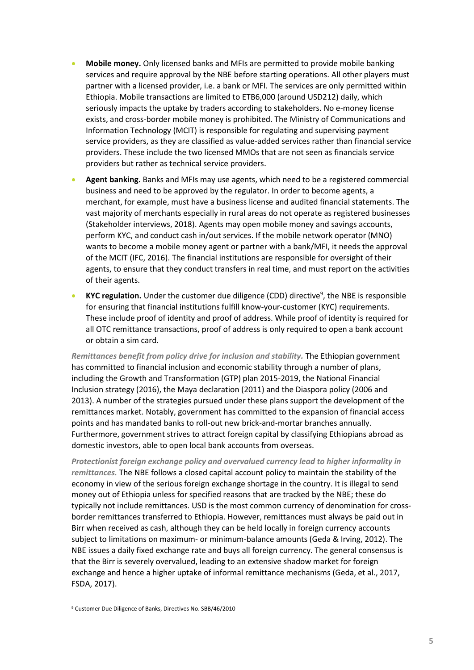- **Mobile money.** Only licensed banks and MFIs are permitted to provide mobile banking services and require approval by the NBE before starting operations. All other players must partner with a licensed provider, i.e. a bank or MFI. The services are only permitted within Ethiopia. Mobile transactions are limited to ETB6,000 (around USD212) daily, which seriously impacts the uptake by traders according to stakeholders. No e-money license exists, and cross-border mobile money is prohibited. The Ministry of Communications and Information Technology (MCIT) is responsible for regulating and supervising payment service providers, as they are classified as value-added services rather than financial service providers. These include the two licensed MMOs that are not seen as financials service providers but rather as technical service providers.
- **Agent banking.** Banks and MFIs may use agents, which need to be a registered commercial business and need to be approved by the regulator. In order to become agents, a merchant, for example, must have a business license and audited financial statements. The vast majority of merchants especially in rural areas do not operate as registered businesses (Stakeholder interviews, 2018). Agents may open mobile money and savings accounts, perform KYC, and conduct cash in/out services. If the mobile network operator (MNO) wants to become a mobile money agent or partner with a bank/MFI, it needs the approval of the MCIT (IFC, 2016). The financial institutions are responsible for oversight of their agents, to ensure that they conduct transfers in real time, and must report on the activities of their agents.
- **KYC regulation.** Under the customer due diligence (CDD) directive<sup>9</sup>, the NBE is responsible for ensuring that financial institutions fulfill know-your-customer (KYC) requirements. These include proof of identity and proof of address. While proof of identity is required for all OTC remittance transactions, proof of address is only required to open a bank account or obtain a sim card.

*Remittances benefit from policy drive for inclusion and stability.* The Ethiopian government has committed to financial inclusion and economic stability through a number of plans, including the Growth and Transformation (GTP) plan 2015-2019, the National Financial Inclusion strategy (2016), the Maya declaration (2011) and the Diaspora policy (2006 and 2013). A number of the strategies pursued under these plans support the development of the remittances market. Notably, government has committed to the expansion of financial access points and has mandated banks to roll-out new brick-and-mortar branches annually. Furthermore, government strives to attract foreign capital by classifying Ethiopians abroad as domestic investors, able to open local bank accounts from overseas.

*Protectionist foreign exchange policy and overvalued currency lead to higher informality in remittances.* The NBE follows a closed capital account policy to maintain the stability of the economy in view of the serious foreign exchange shortage in the country. It is illegal to send money out of Ethiopia unless for specified reasons that are tracked by the NBE; these do typically not include remittances. USD is the most common currency of denomination for crossborder remittances transferred to Ethiopia. However, remittances must always be paid out in Birr when received as cash, although they can be held locally in foreign currency accounts subject to limitations on maximum- or minimum-balance amounts (Geda & Irving, 2012). The NBE issues a daily fixed exchange rate and buys all foreign currency. The general consensus is that the Birr is severely overvalued, leading to an extensive shadow market for foreign exchange and hence a higher uptake of informal remittance mechanisms (Geda, et al., 2017, FSDA, 2017).

<sup>9</sup> Customer Due Diligence of Banks, Directives No. SBB/46/2010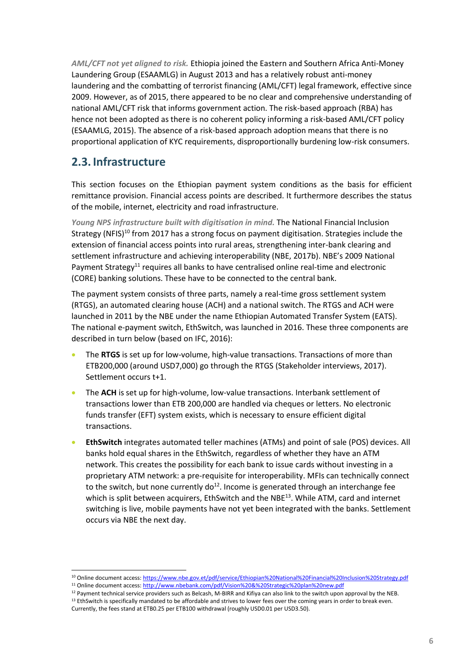*AML/CFT not yet aligned to risk.* Ethiopia joined the Eastern and Southern Africa Anti-Money Laundering Group (ESAAMLG) in August 2013 and has a relatively robust anti-money laundering and the combatting of terrorist financing (AML/CFT) legal framework, effective since 2009. However, as of 2015, there appeared to be no clear and comprehensive understanding of national AML/CFT risk that informs government action. The risk-based approach (RBA) has hence not been adopted as there is no coherent policy informing a risk-based AML/CFT policy (ESAAMLG, 2015). The absence of a risk-based approach adoption means that there is no proportional application of KYC requirements, disproportionally burdening low-risk consumers.

### <span id="page-10-0"></span>**2.3. Infrastructure**

This section focuses on the Ethiopian payment system conditions as the basis for efficient remittance provision. Financial access points are described. It furthermore describes the status of the mobile, internet, electricity and road infrastructure.

*Young NPS infrastructure built with digitisation in mind.* The National Financial Inclusion Strategy (NFIS)<sup>10</sup> from 2017 has a strong focus on payment digitisation. Strategies include the extension of financial access points into rural areas, strengthening inter-bank clearing and settlement infrastructure and achieving interoperability (NBE, 2017b). NBE's 2009 National Payment Strategy<sup>11</sup> requires all banks to have centralised online real-time and electronic (CORE) banking solutions. These have to be connected to the central bank.

The payment system consists of three parts, namely a real-time gross settlement system (RTGS), an automated clearing house (ACH) and a national switch. The RTGS and ACH were launched in 2011 by the NBE under the name Ethiopian Automated Transfer System (EATS). The national e-payment switch, EthSwitch, was launched in 2016. These three components are described in turn below (based on IFC, 2016):

- The **RTGS** is set up for low-volume, high-value transactions. Transactions of more than ETB200,000 (around USD7,000) go through the RTGS (Stakeholder interviews, 2017). Settlement occurs t+1.
- The **ACH** is set up for high-volume, low-value transactions. Interbank settlement of transactions lower than ETB 200,000 are handled via cheques or letters. No electronic funds transfer (EFT) system exists, which is necessary to ensure efficient digital transactions.
- **EthSwitch** integrates automated teller machines (ATMs) and point of sale (POS) devices. All banks hold equal shares in the EthSwitch, regardless of whether they have an ATM network. This creates the possibility for each bank to issue cards without investing in a proprietary ATM network: a pre-requisite for interoperability. MFIs can technically connect to the switch, but none currently  $d\sigma^{12}$ . Income is generated through an interchange fee which is split between acquirers, EthSwitch and the NBE<sup>13</sup>. While ATM, card and internet switching is live, mobile payments have not yet been integrated with the banks. Settlement occurs via NBE the next day.

<sup>10</sup> Online document access:<https://www.nbe.gov.et/pdf/service/Ethiopian%20National%20Financial%20Inclusion%20Strategy.pdf>

<sup>11</sup> Online document access:<http://www.nbebank.com/pdf/Vision%20&%20Strategic%20plan%20new.pdf>

<sup>12</sup> Payment technical service providers such as Belcash, M-BIRR and Kifiya can also link to the switch upon approval by the NEB. <sup>13</sup> EthSwitch is specifically mandated to be affordable and strives to lower fees over the coming years in order to break even.

Currently, the fees stand at ETB0.25 per ETB100 withdrawal (roughly USD0.01 per USD3.50).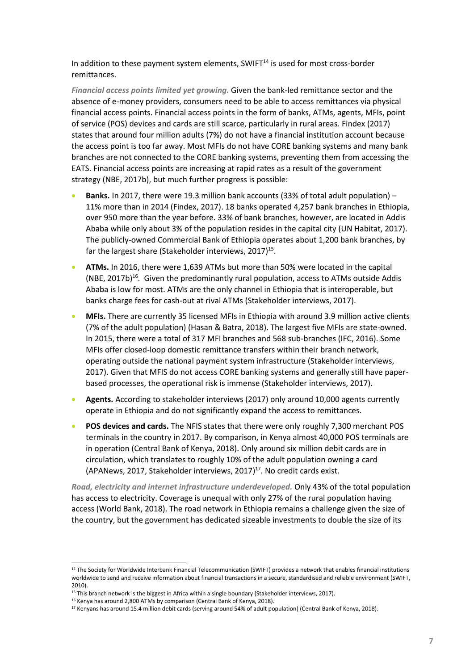In addition to these payment system elements, SWIFT<sup>14</sup> is used for most cross-border remittances.

*Financial access points limited yet growing.* Given the bank-led remittance sector and the absence of e-money providers, consumers need to be able to access remittances via physical financial access points. Financial access points in the form of banks, ATMs, agents, MFIs, point of service (POS) devices and cards are still scarce, particularly in rural areas. Findex (2017) states that around four million adults (7%) do not have a financial institution account because the access point is too far away. Most MFIs do not have CORE banking systems and many bank branches are not connected to the CORE banking systems, preventing them from accessing the EATS. Financial access points are increasing at rapid rates as a result of the government strategy (NBE, 2017b), but much further progress is possible:

- **Banks.** In 2017, there were 19.3 million bank accounts (33% of total adult population) 11% more than in 2014 (Findex, 2017). 18 banks operated 4,257 bank branches in Ethiopia, over 950 more than the year before. 33% of bank branches, however, are located in Addis Ababa while only about 3% of the population resides in the capital city (UN Habitat, 2017). The publicly-owned Commercial Bank of Ethiopia operates about 1,200 bank branches, by far the largest share (Stakeholder interviews, 2017)<sup>15</sup>.
- **ATMs.** In 2016, there were 1,639 ATMs but more than 50% were located in the capital (NBE, 2017b)<sup>16</sup>. Given the predominantly rural population, access to ATMs outside Addis Ababa is low for most. ATMs are the only channel in Ethiopia that is interoperable, but banks charge fees for cash-out at rival ATMs (Stakeholder interviews, 2017).
- **MFIs.** There are currently 35 licensed MFIs in Ethiopia with around 3.9 million active clients (7% of the adult population) (Hasan & Batra, 2018). The largest five MFIs are state-owned. In 2015, there were a total of 317 MFI branches and 568 sub-branches (IFC, 2016). Some MFIs offer closed-loop domestic remittance transfers within their branch network, operating outside the national payment system infrastructure (Stakeholder interviews, 2017). Given that MFIS do not access CORE banking systems and generally still have paperbased processes, the operational risk is immense (Stakeholder interviews, 2017).
- **Agents.** According to stakeholder interviews (2017) only around 10,000 agents currently operate in Ethiopia and do not significantly expand the access to remittances.
- **POS devices and cards.** The NFIS states that there were only roughly 7,300 merchant POS terminals in the country in 2017. By comparison, in Kenya almost 40,000 POS terminals are in operation (Central Bank of Kenya, 2018). Only around six million debit cards are in circulation, which translates to roughly 10% of the adult population owning a card (APANews, 2017, Stakeholder interviews, 2017) <sup>17</sup>. No credit cards exist.

*Road, electricity and internet infrastructure underdeveloped.* Only 43% of the total population has access to electricity. Coverage is unequal with only 27% of the rural population having access (World Bank, 2018). The road network in Ethiopia remains a challenge given the size of the country, but the government has dedicated sizeable investments to double the size of its

<sup>&</sup>lt;sup>14</sup> The Society for Worldwide Interbank Financial Telecommunication (SWIFT) provides a network that enables financial institutions worldwide to send and receive information about financial transactions in a secure, standardised and reliable environment (SWIFT, 2010).

<sup>&</sup>lt;sup>15</sup> This branch network is the biggest in Africa within a single boundary (Stakeholder interviews, 2017).

<sup>&</sup>lt;sup>16</sup> Kenya has around 2,800 ATMs by comparison (Central Bank of Kenya, 2018).

<sup>&</sup>lt;sup>17</sup> Kenyans has around 15.4 million debit cards (serving around 54% of adult population) (Central Bank of Kenya, 2018).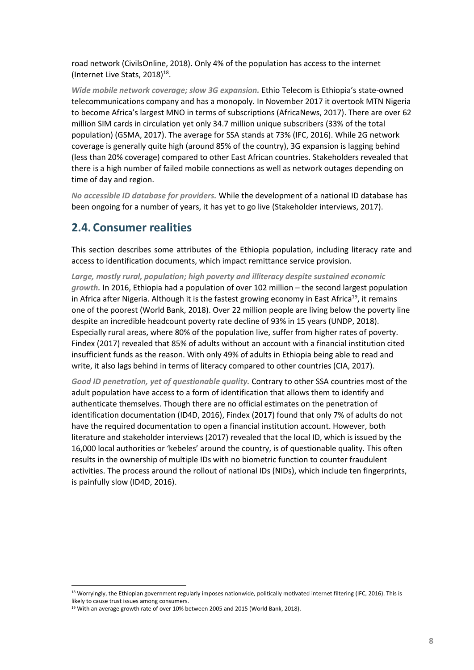road network (CivilsOnline, 2018). Only 4% of the population has access to the internet (Internet Live Stats, 2018) $^{18}$ .

*Wide mobile network coverage; slow 3G expansion.* Ethio Telecom is Ethiopia's state-owned telecommunications company and has a monopoly. In November 2017 it overtook MTN Nigeria to become Africa's largest MNO in terms of subscriptions (AfricaNews, 2017). There are over 62 million SIM cards in circulation yet only 34.7 million unique subscribers (33% of the total population) (GSMA, 2017). The average for SSA stands at 73% (IFC, 2016). While 2G network coverage is generally quite high (around 85% of the country), 3G expansion is lagging behind (less than 20% coverage) compared to other East African countries. Stakeholders revealed that there is a high number of failed mobile connections as well as network outages depending on time of day and region.

*No accessible ID database for providers.* While the development of a national ID database has been ongoing for a number of years, it has yet to go live (Stakeholder interviews, 2017).

### <span id="page-12-0"></span>**2.4. Consumer realities**

This section describes some attributes of the Ethiopia population, including literacy rate and access to identification documents, which impact remittance service provision.

*Large, mostly rural, population; high poverty and illiteracy despite sustained economic growth.* In 2016, Ethiopia had a population of over 102 million – the second largest population in Africa after Nigeria. Although it is the fastest growing economy in East Africa<sup>19</sup>, it remains one of the poorest (World Bank, 2018). Over 22 million people are living below the poverty line despite an incredible headcount poverty rate decline of 93% in 15 years (UNDP, 2018). Especially rural areas, where 80% of the population live, suffer from higher rates of poverty. Findex (2017) revealed that 85% of adults without an account with a financial institution cited insufficient funds as the reason. With only 49% of adults in Ethiopia being able to read and write, it also lags behind in terms of literacy compared to other countries (CIA, 2017).

*Good ID penetration, yet of questionable quality.* Contrary to other SSA countries most of the adult population have access to a form of identification that allows them to identify and authenticate themselves. Though there are no official estimates on the penetration of identification documentation (ID4D, 2016), Findex (2017) found that only 7% of adults do not have the required documentation to open a financial institution account. However, both literature and stakeholder interviews (2017) revealed that the local ID, which is issued by the 16,000 local authorities or 'kebeles' around the country, is of questionable quality. This often results in the ownership of multiple IDs with no biometric function to counter fraudulent activities. The process around the rollout of national IDs (NIDs), which include ten fingerprints, is painfully slow (ID4D, 2016).

<sup>18</sup> Worryingly, the Ethiopian government regularly imposes nationwide, politically motivated internet filtering (IFC, 2016). This is likely to cause trust issues among consumers.

<sup>&</sup>lt;sup>19</sup> With an average growth rate of over 10% between 2005 and 2015 (World Bank, 2018).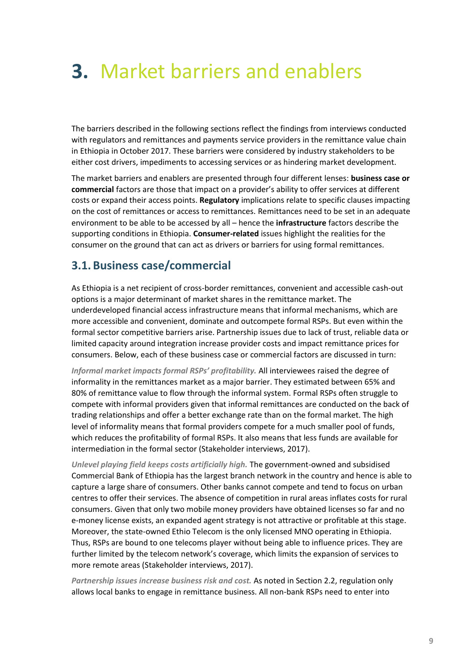# <span id="page-13-0"></span>**3.** Market barriers and enablers

The barriers described in the following sections reflect the findings from interviews conducted with regulators and remittances and payments service providers in the remittance value chain in Ethiopia in October 2017. These barriers were considered by industry stakeholders to be either cost drivers, impediments to accessing services or as hindering market development.

The market barriers and enablers are presented through four different lenses: **business case or commercial** factors are those that impact on a provider's ability to offer services at different costs or expand their access points. **Regulatory** implications relate to specific clauses impacting on the cost of remittances or access to remittances. Remittances need to be set in an adequate environment to be able to be accessed by all – hence the **infrastructure** factors describe the supporting conditions in Ethiopia. **Consumer-related** issues highlight the realities for the consumer on the ground that can act as drivers or barriers for using formal remittances.

### <span id="page-13-1"></span>**3.1. Business case/commercial**

As Ethiopia is a net recipient of cross-border remittances, convenient and accessible cash-out options is a major determinant of market shares in the remittance market. The underdeveloped financial access infrastructure means that informal mechanisms, which are more accessible and convenient, dominate and outcompete formal RSPs. But even within the formal sector competitive barriers arise. Partnership issues due to lack of trust, reliable data or limited capacity around integration increase provider costs and impact remittance prices for consumers. Below, each of these business case or commercial factors are discussed in turn:

*Informal market impacts formal RSPs' profitability.* All interviewees raised the degree of informality in the remittances market as a major barrier. They estimated between 65% and 80% of remittance value to flow through the informal system. Formal RSPs often struggle to compete with informal providers given that informal remittances are conducted on the back of trading relationships and offer a better exchange rate than on the formal market. The high level of informality means that formal providers compete for a much smaller pool of funds, which reduces the profitability of formal RSPs. It also means that less funds are available for intermediation in the formal sector (Stakeholder interviews, 2017).

*Unlevel playing field keeps costs artificially high.* The government-owned and subsidised Commercial Bank of Ethiopia has the largest branch network in the country and hence is able to capture a large share of consumers. Other banks cannot compete and tend to focus on urban centres to offer their services. The absence of competition in rural areas inflates costs for rural consumers. Given that only two mobile money providers have obtained licenses so far and no e-money license exists, an expanded agent strategy is not attractive or profitable at this stage. Moreover, the state-owned Ethio Telecom is the only licensed MNO operating in Ethiopia. Thus, RSPs are bound to one telecoms player without being able to influence prices. They are further limited by the telecom network's coverage, which limits the expansion of services to more remote areas (Stakeholder interviews, 2017).

*Partnership issues increase business risk and cost.* As noted in Section [2.2,](#page-8-0) regulation only allows local banks to engage in remittance business. All non-bank RSPs need to enter into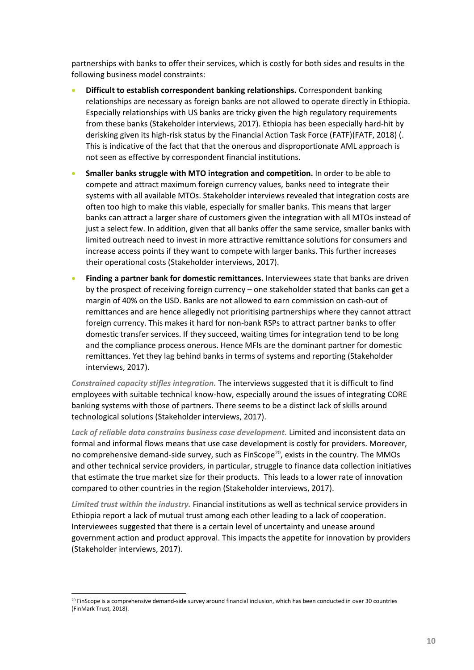partnerships with banks to offer their services, which is costly for both sides and results in the following business model constraints:

- **Difficult to establish correspondent banking relationships.** Correspondent banking relationships are necessary as foreign banks are not allowed to operate directly in Ethiopia. Especially relationships with US banks are tricky given the high regulatory requirements from these banks (Stakeholder interviews, 2017). Ethiopia has been especially hard-hit by derisking given its high-risk status by the Financial Action Task Force (FATF)(FATF, 2018) (. This is indicative of the fact that that the onerous and disproportionate AML approach is not seen as effective by correspondent financial institutions.
- **Smaller banks struggle with MTO integration and competition.** In order to be able to compete and attract maximum foreign currency values, banks need to integrate their systems with all available MTOs. Stakeholder interviews revealed that integration costs are often too high to make this viable, especially for smaller banks. This means that larger banks can attract a larger share of customers given the integration with all MTOs instead of just a select few. In addition, given that all banks offer the same service, smaller banks with limited outreach need to invest in more attractive remittance solutions for consumers and increase access points if they want to compete with larger banks. This further increases their operational costs (Stakeholder interviews, 2017).
- **Finding a partner bank for domestic remittances.** Interviewees state that banks are driven by the prospect of receiving foreign currency – one stakeholder stated that banks can get a margin of 40% on the USD. Banks are not allowed to earn commission on cash-out of remittances and are hence allegedly not prioritising partnerships where they cannot attract foreign currency. This makes it hard for non-bank RSPs to attract partner banks to offer domestic transfer services. If they succeed, waiting times for integration tend to be long and the compliance process onerous. Hence MFIs are the dominant partner for domestic remittances. Yet they lag behind banks in terms of systems and reporting (Stakeholder interviews, 2017).

*Constrained capacity stifles integration.* The interviews suggested that it is difficult to find employees with suitable technical know-how, especially around the issues of integrating CORE banking systems with those of partners. There seems to be a distinct lack of skills around technological solutions (Stakeholder interviews, 2017).

*Lack of reliable data constrains business case development.* Limited and inconsistent data on formal and informal flows means that use case development is costly for providers. Moreover, no comprehensive demand-side survey, such as  $Finscope<sup>20</sup>$ , exists in the country. The MMOs and other technical service providers, in particular, struggle to finance data collection initiatives that estimate the true market size for their products. This leads to a lower rate of innovation compared to other countries in the region (Stakeholder interviews, 2017).

*Limited trust within the industry.* Financial institutions as well as technical service providers in Ethiopia report a lack of mutual trust among each other leading to a lack of cooperation. Interviewees suggested that there is a certain level of uncertainty and unease around government action and product approval. This impacts the appetite for innovation by providers (Stakeholder interviews, 2017).

<sup>&</sup>lt;sup>20</sup> FinScope is a comprehensive demand-side survey around financial inclusion, which has been conducted in over 30 countries (FinMark Trust, 2018).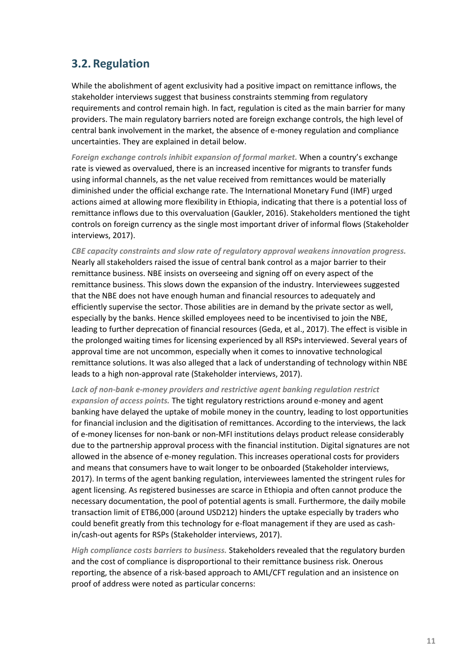## <span id="page-15-0"></span>**3.2. Regulation**

While the abolishment of agent exclusivity had a positive impact on remittance inflows, the stakeholder interviews suggest that business constraints stemming from regulatory requirements and control remain high. In fact, regulation is cited as the main barrier for many providers. The main regulatory barriers noted are foreign exchange controls, the high level of central bank involvement in the market, the absence of e-money regulation and compliance uncertainties. They are explained in detail below.

*Foreign exchange controls inhibit expansion of formal market.* When a country's exchange rate is viewed as overvalued, there is an increased incentive for migrants to transfer funds using informal channels, as the net value received from remittances would be materially diminished under the official exchange rate. The International Monetary Fund (IMF) urged actions aimed at allowing more flexibility in Ethiopia, indicating that there is a potential loss of remittance inflows due to this overvaluation (Gaukler, 2016). Stakeholders mentioned the tight controls on foreign currency as the single most important driver of informal flows (Stakeholder interviews, 2017).

*CBE capacity constraints and slow rate of regulatory approval weakens innovation progress.*  Nearly all stakeholders raised the issue of central bank control as a major barrier to their remittance business. NBE insists on overseeing and signing off on every aspect of the remittance business. This slows down the expansion of the industry. Interviewees suggested that the NBE does not have enough human and financial resources to adequately and efficiently supervise the sector. Those abilities are in demand by the private sector as well, especially by the banks. Hence skilled employees need to be incentivised to join the NBE, leading to further deprecation of financial resources (Geda, et al., 2017). The effect is visible in the prolonged waiting times for licensing experienced by all RSPs interviewed. Several years of approval time are not uncommon, especially when it comes to innovative technological remittance solutions. It was also alleged that a lack of understanding of technology within NBE leads to a high non-approval rate (Stakeholder interviews, 2017).

*Lack of non-bank e-money providers and restrictive agent banking regulation restrict expansion of access points.* The tight regulatory restrictions around e-money and agent banking have delayed the uptake of mobile money in the country, leading to lost opportunities for financial inclusion and the digitisation of remittances. According to the interviews, the lack of e-money licenses for non-bank or non-MFI institutions delays product release considerably due to the partnership approval process with the financial institution. Digital signatures are not allowed in the absence of e-money regulation. This increases operational costs for providers and means that consumers have to wait longer to be onboarded (Stakeholder interviews, 2017). In terms of the agent banking regulation, interviewees lamented the stringent rules for agent licensing. As registered businesses are scarce in Ethiopia and often cannot produce the necessary documentation, the pool of potential agents is small. Furthermore, the daily mobile transaction limit of ETB6,000 (around USD212) hinders the uptake especially by traders who could benefit greatly from this technology for e-float management if they are used as cashin/cash-out agents for RSPs (Stakeholder interviews, 2017).

*High compliance costs barriers to business.* Stakeholders revealed that the regulatory burden and the cost of compliance is disproportional to their remittance business risk. Onerous reporting, the absence of a risk-based approach to AML/CFT regulation and an insistence on proof of address were noted as particular concerns: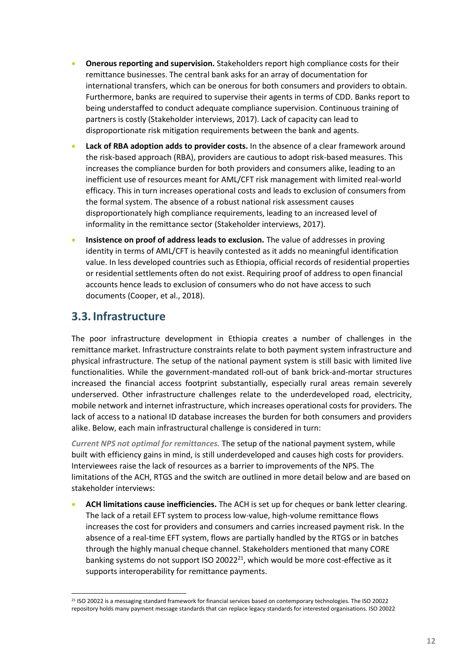- **Onerous reporting and supervision.** Stakeholders report high compliance costs for their remittance businesses. The central bank asks for an array of documentation for international transfers, which can be onerous for both consumers and providers to obtain. Furthermore, banks are required to supervise their agents in terms of CDD. Banks report to being understaffed to conduct adequate compliance supervision. Continuous training of partners is costly (Stakeholder interviews, 2017). Lack of capacity can lead to disproportionate risk mitigation requirements between the bank and agents.
- **Lack of RBA adoption adds to provider costs.** In the absence of a clear framework around the risk-based approach (RBA), providers are cautious to adopt risk-based measures. This increases the compliance burden for both providers and consumers alike, leading to an inefficient use of resources meant for AML/CFT risk management with limited real-world efficacy. This in turn increases operational costs and leads to exclusion of consumers from the formal system. The absence of a robust national risk assessment causes disproportionately high compliance requirements, leading to an increased level of informality in the remittance sector (Stakeholder interviews, 2017).
- **Insistence on proof of address leads to exclusion.** The value of addresses in proving identity in terms of AML/CFT is heavily contested as it adds no meaningful identification value. In less developed countries such as Ethiopia, official records of residential properties or residential settlements often do not exist. Requiring proof of address to open financial accounts hence leads to exclusion of consumers who do not have access to such documents (Cooper, et al., 2018).

### <span id="page-16-0"></span>**3.3. Infrastructure**

The poor infrastructure development in Ethiopia creates a number of challenges in the remittance market. Infrastructure constraints relate to both payment system infrastructure and physical infrastructure. The setup of the national payment system is still basic with limited live functionalities. While the government-mandated roll-out of bank brick-and-mortar structures increased the financial access footprint substantially, especially rural areas remain severely underserved. Other infrastructure challenges relate to the underdeveloped road, electricity, mobile network and internet infrastructure, which increases operational costs for providers. The lack of access to a national ID database increases the burden for both consumers and providers alike. Below, each main infrastructural challenge is considered in turn:

*Current NPS not optimal for remittances.* The setup of the national payment system, while built with efficiency gains in mind, is still underdeveloped and causes high costs for providers. Interviewees raise the lack of resources as a barrier to improvements of the NPS. The limitations of the ACH, RTGS and the switch are outlined in more detail below and are based on stakeholder interviews:

• **ACH limitations cause inefficiencies.** The ACH is set up for cheques or bank letter clearing. The lack of a retail EFT system to process low-value, high-volume remittance flows increases the cost for providers and consumers and carries increased payment risk. In the absence of a real-time EFT system, flows are partially handled by the RTGS or in batches through the highly manual cheque channel. Stakeholders mentioned that many CORE banking systems do not support ISO 20022<sup>21</sup>, which would be more cost-effective as it supports interoperability for remittance payments.

<sup>&</sup>lt;sup>21</sup> ISO 20022 is a messaging standard framework for financial services based on contemporary technologies. The ISO 20022 repository holds many payment message standards that can replace legacy standards for interested organisations. ISO 20022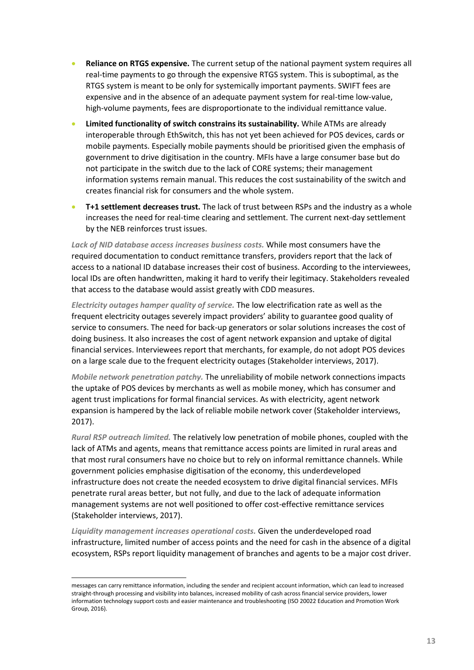- **Reliance on RTGS expensive.** The current setup of the national payment system requires all real-time payments to go through the expensive RTGS system. This is suboptimal, as the RTGS system is meant to be only for systemically important payments. SWIFT fees are expensive and in the absence of an adequate payment system for real-time low-value, high-volume payments, fees are disproportionate to the individual remittance value.
- **Limited functionality of switch constrains its sustainability.** While ATMs are already interoperable through EthSwitch, this has not yet been achieved for POS devices, cards or mobile payments. Especially mobile payments should be prioritised given the emphasis of government to drive digitisation in the country. MFIs have a large consumer base but do not participate in the switch due to the lack of CORE systems; their management information systems remain manual. This reduces the cost sustainability of the switch and creates financial risk for consumers and the whole system.
- **T+1 settlement decreases trust.** The lack of trust between RSPs and the industry as a whole increases the need for real-time clearing and settlement. The current next-day settlement by the NEB reinforces trust issues.

*Lack of NID database access increases business costs.* While most consumers have the required documentation to conduct remittance transfers, providers report that the lack of access to a national ID database increases their cost of business. According to the interviewees, local IDs are often handwritten, making it hard to verify their legitimacy. Stakeholders revealed that access to the database would assist greatly with CDD measures.

*Electricity outages hamper quality of service.* The low electrification rate as well as the frequent electricity outages severely impact providers' ability to guarantee good quality of service to consumers. The need for back-up generators or solar solutions increases the cost of doing business. It also increases the cost of agent network expansion and uptake of digital financial services. Interviewees report that merchants, for example, do not adopt POS devices on a large scale due to the frequent electricity outages (Stakeholder interviews, 2017).

*Mobile network penetration patchy.* The unreliability of mobile network connections impacts the uptake of POS devices by merchants as well as mobile money, which has consumer and agent trust implications for formal financial services. As with electricity, agent network expansion is hampered by the lack of reliable mobile network cover (Stakeholder interviews, 2017).

*Rural RSP outreach limited.* The relatively low penetration of mobile phones, coupled with the lack of ATMs and agents, means that remittance access points are limited in rural areas and that most rural consumers have no choice but to rely on informal remittance channels. While government policies emphasise digitisation of the economy, this underdeveloped infrastructure does not create the needed ecosystem to drive digital financial services. MFIs penetrate rural areas better, but not fully, and due to the lack of adequate information management systems are not well positioned to offer cost-effective remittance services (Stakeholder interviews, 2017).

*Liquidity management increases operational costs.* Given the underdeveloped road infrastructure, limited number of access points and the need for cash in the absence of a digital ecosystem, RSPs report liquidity management of branches and agents to be a major cost driver.

messages can carry remittance information, including the sender and recipient account information, which can lead to increased straight-through processing and visibility into balances, increased mobility of cash across financial service providers, lower information technology support costs and easier maintenance and troubleshooting (ISO 20022 Education and Promotion Work Group, 2016).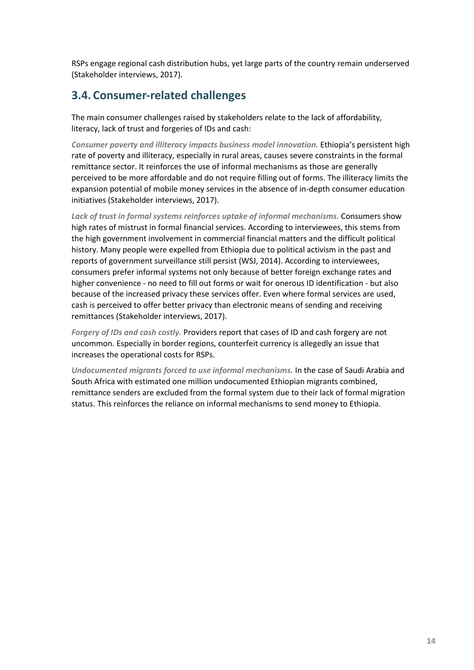RSPs engage regional cash distribution hubs, yet large parts of the country remain underserved (Stakeholder interviews, 2017).

### <span id="page-18-0"></span>**3.4. Consumer-related challenges**

The main consumer challenges raised by stakeholders relate to the lack of affordability, literacy, lack of trust and forgeries of IDs and cash:

*Consumer poverty and illiteracy impacts business model innovation.* Ethiopia's persistent high rate of poverty and illiteracy, especially in rural areas, causes severe constraints in the formal remittance sector. It reinforces the use of informal mechanisms as those are generally perceived to be more affordable and do not require filling out of forms. The illiteracy limits the expansion potential of mobile money services in the absence of in-depth consumer education initiatives (Stakeholder interviews, 2017).

*Lack of trust in formal systems reinforces uptake of informal mechanisms.* Consumers show high rates of mistrust in formal financial services. According to interviewees, this stems from the high government involvement in commercial financial matters and the difficult political history. Many people were expelled from Ethiopia due to political activism in the past and reports of government surveillance still persist (WSJ, 2014). According to interviewees, consumers prefer informal systems not only because of better foreign exchange rates and higher convenience - no need to fill out forms or wait for onerous ID identification - but also because of the increased privacy these services offer. Even where formal services are used, cash is perceived to offer better privacy than electronic means of sending and receiving remittances (Stakeholder interviews, 2017).

*Forgery of IDs and cash costly.* Providers report that cases of ID and cash forgery are not uncommon. Especially in border regions, counterfeit currency is allegedly an issue that increases the operational costs for RSPs.

*Undocumented migrants forced to use informal mechanisms.* In the case of Saudi Arabia and South Africa with estimated one million undocumented Ethiopian migrants combined, remittance senders are excluded from the formal system due to their lack of formal migration status. This reinforces the reliance on informal mechanisms to send money to Ethiopia.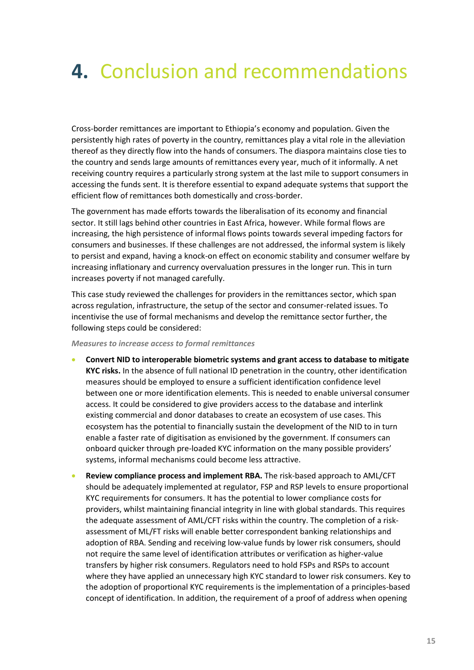# <span id="page-19-0"></span>**4.** Conclusion and recommendations

Cross-border remittances are important to Ethiopia's economy and population. Given the persistently high rates of poverty in the country, remittances play a vital role in the alleviation thereof as they directly flow into the hands of consumers. The diaspora maintains close ties to the country and sends large amounts of remittances every year, much of it informally. A net receiving country requires a particularly strong system at the last mile to support consumers in accessing the funds sent. It is therefore essential to expand adequate systems that support the efficient flow of remittances both domestically and cross-border.

The government has made efforts towards the liberalisation of its economy and financial sector. It still lags behind other countries in East Africa, however. While formal flows are increasing, the high persistence of informal flows points towards several impeding factors for consumers and businesses. If these challenges are not addressed, the informal system is likely to persist and expand, having a knock-on effect on economic stability and consumer welfare by increasing inflationary and currency overvaluation pressures in the longer run. This in turn increases poverty if not managed carefully.

This case study reviewed the challenges for providers in the remittances sector, which span across regulation, infrastructure, the setup of the sector and consumer-related issues. To incentivise the use of formal mechanisms and develop the remittance sector further, the following steps could be considered:

#### *Measures to increase access to formal remittances*

- **Convert NID to interoperable biometric systems and grant access to database to mitigate KYC risks.** In the absence of full national ID penetration in the country, other identification measures should be employed to ensure a sufficient identification confidence level between one or more identification elements. This is needed to enable universal consumer access. It could be considered to give providers access to the database and interlink existing commercial and donor databases to create an ecosystem of use cases. This ecosystem has the potential to financially sustain the development of the NID to in turn enable a faster rate of digitisation as envisioned by the government. If consumers can onboard quicker through pre-loaded KYC information on the many possible providers' systems, informal mechanisms could become less attractive.
- **Review compliance process and implement RBA.** The risk-based approach to AML/CFT should be adequately implemented at regulator, FSP and RSP levels to ensure proportional KYC requirements for consumers. It has the potential to lower compliance costs for providers, whilst maintaining financial integrity in line with global standards. This requires the adequate assessment of AML/CFT risks within the country. The completion of a riskassessment of ML/FT risks will enable better correspondent banking relationships and adoption of RBA. Sending and receiving low-value funds by lower risk consumers, should not require the same level of identification attributes or verification as higher-value transfers by higher risk consumers. Regulators need to hold FSPs and RSPs to account where they have applied an unnecessary high KYC standard to lower risk consumers. Key to the adoption of proportional KYC requirements is the implementation of a principles-based concept of identification. In addition, the requirement of a proof of address when opening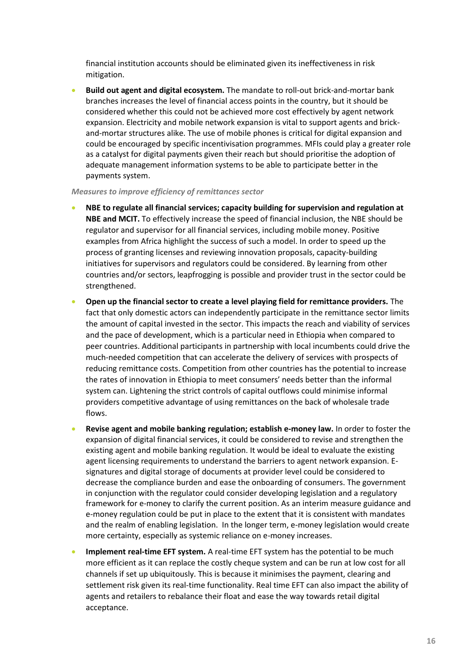financial institution accounts should be eliminated given its ineffectiveness in risk mitigation.

• **Build out agent and digital ecosystem.** The mandate to roll-out brick-and-mortar bank branches increases the level of financial access points in the country, but it should be considered whether this could not be achieved more cost effectively by agent network expansion. Electricity and mobile network expansion is vital to support agents and brickand-mortar structures alike. The use of mobile phones is critical for digital expansion and could be encouraged by specific incentivisation programmes. MFIs could play a greater role as a catalyst for digital payments given their reach but should prioritise the adoption of adequate management information systems to be able to participate better in the payments system.

#### *Measures to improve efficiency of remittances sector*

- **NBE to regulate all financial services; capacity building for supervision and regulation at NBE and MCIT.** To effectively increase the speed of financial inclusion, the NBE should be regulator and supervisor for all financial services, including mobile money. Positive examples from Africa highlight the success of such a model. In order to speed up the process of granting licenses and reviewing innovation proposals, capacity-building initiatives for supervisors and regulators could be considered. By learning from other countries and/or sectors, leapfrogging is possible and provider trust in the sector could be strengthened.
- **Open up the financial sector to create a level playing field for remittance providers.** The fact that only domestic actors can independently participate in the remittance sector limits the amount of capital invested in the sector. This impacts the reach and viability of services and the pace of development, which is a particular need in Ethiopia when compared to peer countries. Additional participants in partnership with local incumbents could drive the much-needed competition that can accelerate the delivery of services with prospects of reducing remittance costs. Competition from other countries has the potential to increase the rates of innovation in Ethiopia to meet consumers' needs better than the informal system can. Lightening the strict controls of capital outflows could minimise informal providers competitive advantage of using remittances on the back of wholesale trade flows.
- **Revise agent and mobile banking regulation; establish e-money law.** In order to foster the expansion of digital financial services, it could be considered to revise and strengthen the existing agent and mobile banking regulation. It would be ideal to evaluate the existing agent licensing requirements to understand the barriers to agent network expansion. Esignatures and digital storage of documents at provider level could be considered to decrease the compliance burden and ease the onboarding of consumers. The government in conjunction with the regulator could consider developing legislation and a regulatory framework for e-money to clarify the current position. As an interim measure guidance and e-money regulation could be put in place to the extent that it is consistent with mandates and the realm of enabling legislation. In the longer term, e-money legislation would create more certainty, especially as systemic reliance on e-money increases.
- **Implement real-time EFT system.** A real-time EFT system has the potential to be much more efficient as it can replace the costly cheque system and can be run at low cost for all channels if set up ubiquitously. This is because it minimises the payment, clearing and settlement risk given its real-time functionality. Real time EFT can also impact the ability of agents and retailers to rebalance their float and ease the way towards retail digital acceptance.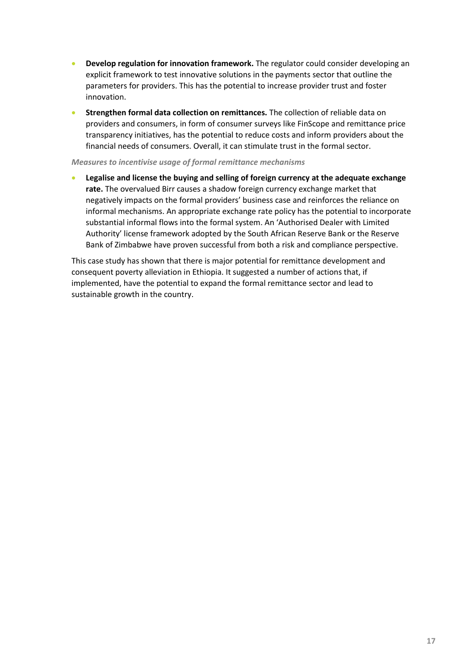- **Develop regulation for innovation framework.** The regulator could consider developing an explicit framework to test innovative solutions in the payments sector that outline the parameters for providers. This has the potential to increase provider trust and foster innovation.
- **Strengthen formal data collection on remittances.** The collection of reliable data on providers and consumers, in form of consumer surveys like FinScope and remittance price transparency initiatives, has the potential to reduce costs and inform providers about the financial needs of consumers. Overall, it can stimulate trust in the formal sector.

### *Measures to incentivise usage of formal remittance mechanisms*

• **Legalise and license the buying and selling of foreign currency at the adequate exchange rate.** The overvalued Birr causes a shadow foreign currency exchange market that negatively impacts on the formal providers' business case and reinforces the reliance on informal mechanisms. An appropriate exchange rate policy has the potential to incorporate substantial informal flows into the formal system. An 'Authorised Dealer with Limited Authority' license framework adopted by the South African Reserve Bank or the Reserve Bank of Zimbabwe have proven successful from both a risk and compliance perspective.

This case study has shown that there is major potential for remittance development and consequent poverty alleviation in Ethiopia. It suggested a number of actions that, if implemented, have the potential to expand the formal remittance sector and lead to sustainable growth in the country.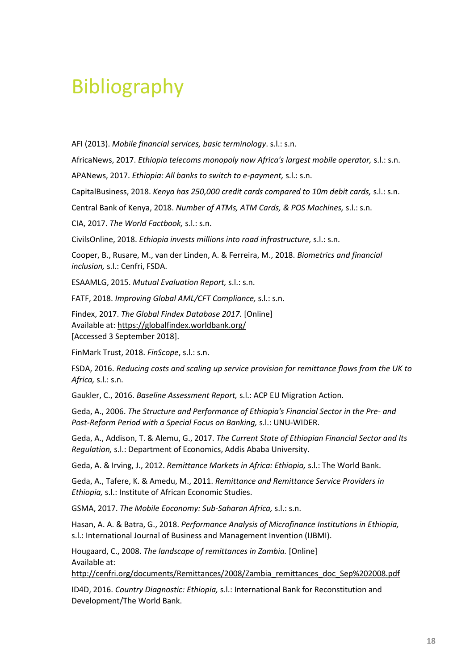## <span id="page-22-0"></span>Bibliography

AFI (2013). *Mobile financial services, basic terminology*. s.l.: s.n.

AfricaNews, 2017. *Ethiopia telecoms monopoly now Africa's largest mobile operator,* s.l.: s.n.

APANews, 2017. *Ethiopia: All banks to switch to e-payment,* s.l.: s.n.

CapitalBusiness, 2018. *Kenya has 250,000 credit cards compared to 10m debit cards,* s.l.: s.n.

Central Bank of Kenya, 2018. *Number of ATMs, ATM Cards, & POS Machines,* s.l.: s.n.

CIA, 2017. *The World Factbook,* s.l.: s.n.

CivilsOnline, 2018. *Ethiopia invests millions into road infrastructure,* s.l.: s.n.

Cooper, B., Rusare, M., van der Linden, A. & Ferreira, M., 2018. *Biometrics and financial inclusion,* s.l.: Cenfri, FSDA.

ESAAMLG, 2015. *Mutual Evaluation Report,* s.l.: s.n.

FATF, 2018. *Improving Global AML/CFT Compliance,* s.l.: s.n.

Findex, 2017. *The Global Findex Database 2017.* [Online] Available at: https://globalfindex.worldbank.org/ [Accessed 3 September 2018].

FinMark Trust, 2018. *FinScope*, s.l.: s.n.

FSDA, 2016. *Reducing costs and scaling up service provision for remittance flows from the UK to Africa,* s.l.: s.n.

Gaukler, C., 2016. *Baseline Assessment Report,* s.l.: ACP EU Migration Action.

Geda, A., 2006. *The Structure and Performance of Ethiopia's Financial Sector in the Pre- and Post-Reform Period with a Special Focus on Banking,* s.l.: UNU-WIDER.

Geda, A., Addison, T. & Alemu, G., 2017. *The Current State of Ethiopian Financial Sector and Its Regulation,* s.l.: Department of Economics, Addis Ababa University.

Geda, A. & Irving, J., 2012. *Remittance Markets in Africa: Ethiopia,* s.l.: The World Bank.

Geda, A., Tafere, K. & Amedu, M., 2011. *Remittance and Remittance Service Providers in Ethiopia,* s.l.: Institute of African Economic Studies.

GSMA, 2017. *The Mobile Eoconomy: Sub-Saharan Africa,* s.l.: s.n.

Hasan, A. A. & Batra, G., 2018. *Performance Analysis of Microfinance Institutions in Ethiopia,*  s.l.: International Journal of Business and Management Invention (IJBMI).

Hougaard, C., 2008. *The landscape of remittances in Zambia.* [Online] Available at:

http://cenfri.org/documents/Remittances/2008/Zambia\_remittances\_doc\_Sep%202008.pdf

ID4D, 2016. *Country Diagnostic: Ethiopia,* s.l.: International Bank for Reconstitution and Development/The World Bank.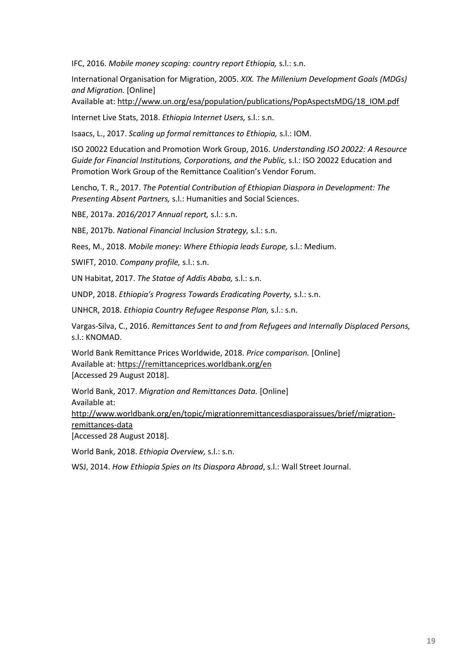IFC, 2016. *Mobile money scoping: country report Ethiopia,* s.l.: s.n.

International Organisation for Migration, 2005. *XIX. The Millenium Development Goals (MDGs) and Migration.* [Online]

Available at: http://www.un.org/esa/population/publications/PopAspectsMDG/18\_IOM.pdf

Internet Live Stats, 2018. *Ethiopia Internet Users,* s.l.: s.n.

Isaacs, L., 2017. *Scaling up formal remittances to Ethiopia,* s.l.: IOM.

ISO 20022 Education and Promotion Work Group, 2016. *Understanding ISO 20022: A Resource Guide for Financial Institutions, Corporations, and the Public,* s.l.: ISO 20022 Education and Promotion Work Group of the Remittance Coalition's Vendor Forum.

Lencho, T. R., 2017. *The Potential Contribution of Ethiopian Diaspora in Development: The Presenting Absent Partners,* s.l.: Humanities and Social Sciences.

NBE, 2017a. *2016/2017 Annual report,* s.l.: s.n.

NBE, 2017b. *National Financial Inclusion Strategy,* s.l.: s.n.

Rees, M., 2018. *Mobile money: Where Ethiopia leads Europe,* s.l.: Medium.

SWIFT, 2010. *Company profile,* s.l.: s.n.

UN Habitat, 2017. *The Statae of Addis Ababa,* s.l.: s.n.

UNDP, 2018. *Ethiopia's Progress Towards Eradicating Poverty,* s.l.: s.n.

UNHCR, 2018. *Ethiopia Country Refugee Response Plan,* s.l.: s.n.

Vargas-Silva, C., 2016. *Remittances Sent to and from Refugees and Internally Displaced Persons,*  s.l.: KNOMAD.

World Bank Remittance Prices Worldwide, 2018. *Price comparison.* [Online] Available at: https://remittanceprices.worldbank.org/en [Accessed 29 August 2018].

World Bank, 2017. *Migration and Remittances Data.* [Online] Available at: http://www.worldbank.org/en/topic/migrationremittancesdiasporaissues/brief/migration-

remittances-data

[Accessed 28 August 2018].

World Bank, 2018. *Ethiopia Overview,* s.l.: s.n.

WSJ, 2014. *How Ethiopia Spies on Its Diaspora Abroad*, s.l.: Wall Street Journal.